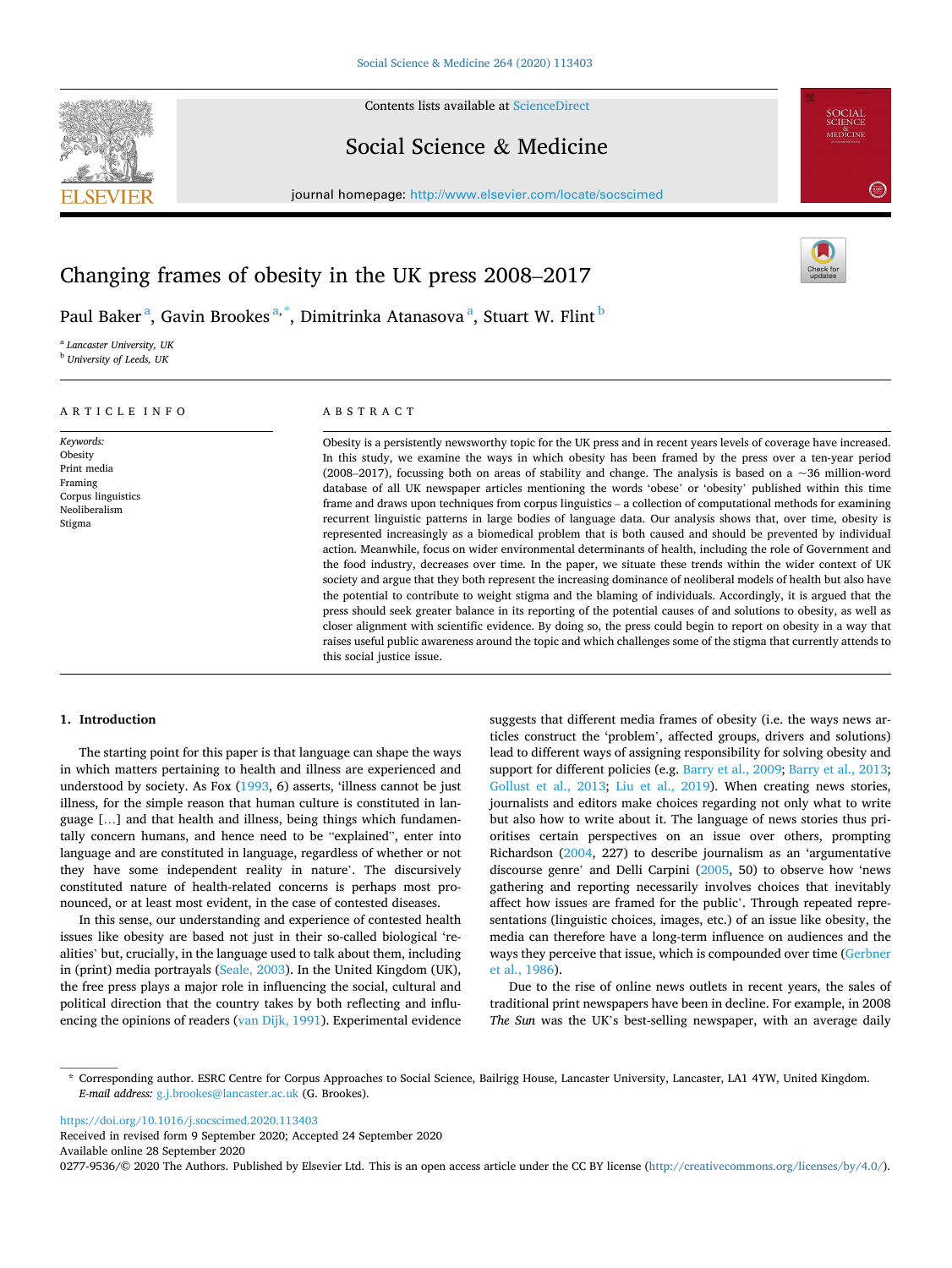

Contents lists available at [ScienceDirect](www.sciencedirect.com/science/journal/02779536)

# Social Science & Medicine

journal homepage: [http://www.elsevier.com/locate/socscimed](https://http://www.elsevier.com/locate/socscimed)



# Changing frames of obesity in the UK press 2008–2017

Paul Baker $^{\mathrm{a}},$  Gavin Brookes $^{\mathrm{a},\ast},$  Dimitrinka Atanasova $^{\mathrm{a}},$  Stuart W. Flint $^{\mathrm{b}}$ 

<sup>a</sup> *Lancaster University, UK* <sup>b</sup> *University of Leeds, UK* 

# ARTICLE INFO

*Keywords:*  Obesity Print media Framing Corpus linguistics Neoliberalism Stigma

## ABSTRACT

Obesity is a persistently newsworthy topic for the UK press and in recent years levels of coverage have increased. In this study, we examine the ways in which obesity has been framed by the press over a ten-year period (2008–2017), focussing both on areas of stability and change. The analysis is based on a  $\sim$ 36 million-word database of all UK newspaper articles mentioning the words 'obese' or 'obesity' published within this time frame and draws upon techniques from corpus linguistics – a collection of computational methods for examining recurrent linguistic patterns in large bodies of language data. Our analysis shows that, over time, obesity is represented increasingly as a biomedical problem that is both caused and should be prevented by individual action. Meanwhile, focus on wider environmental determinants of health, including the role of Government and the food industry, decreases over time. In the paper, we situate these trends within the wider context of UK society and argue that they both represent the increasing dominance of neoliberal models of health but also have the potential to contribute to weight stigma and the blaming of individuals. Accordingly, it is argued that the press should seek greater balance in its reporting of the potential causes of and solutions to obesity, as well as closer alignment with scientific evidence. By doing so, the press could begin to report on obesity in a way that raises useful public awareness around the topic and which challenges some of the stigma that currently attends to this social justice issue.

## **1. Introduction**

The starting point for this paper is that language can shape the ways in which matters pertaining to health and illness are experienced and understood by society. As Fox [\(1993](#page-7-0), 6) asserts, 'illness cannot be just illness, for the simple reason that human culture is constituted in language […] and that health and illness, being things which fundamentally concern humans, and hence need to be "explained", enter into language and are constituted in language, regardless of whether or not they have some independent reality in nature'. The discursively constituted nature of health-related concerns is perhaps most pronounced, or at least most evident, in the case of contested diseases.

In this sense, our understanding and experience of contested health issues like obesity are based not just in their so-called biological 'realities' but, crucially, in the language used to talk about them, including in (print) media portrayals ([Seale, 2003\)](#page-8-0). In the United Kingdom (UK), the free press plays a major role in influencing the social, cultural and political direction that the country takes by both reflecting and influencing the opinions of readers [\(van Dijk, 1991](#page-8-0)). Experimental evidence suggests that different media frames of obesity (i.e. the ways news articles construct the 'problem', affected groups, drivers and solutions) lead to different ways of assigning responsibility for solving obesity and support for different policies (e.g. [Barry et al., 2009](#page-7-0); [Barry et al., 2013](#page-7-0); [Gollust et al., 2013](#page-8-0); [Liu et al., 2019](#page-8-0)). When creating news stories, journalists and editors make choices regarding not only what to write but also how to write about it. The language of news stories thus prioritises certain perspectives on an issue over others, prompting Richardson ([2004,](#page-8-0) 227) to describe journalism as an 'argumentative discourse genre' and Delli Carpini [\(2005](#page-7-0), 50) to observe how 'news gathering and reporting necessarily involves choices that inevitably affect how issues are framed for the public'. Through repeated representations (linguistic choices, images, etc.) of an issue like obesity, the media can therefore have a long-term influence on audiences and the ways they perceive that issue, which is compounded over time [\(Gerbner](#page-8-0)  [et al., 1986\)](#page-8-0).

Due to the rise of online news outlets in recent years, the sales of traditional print newspapers have been in decline. For example, in 2008 *The Sun* was the UK's best-selling newspaper, with an average daily

<https://doi.org/10.1016/j.socscimed.2020.113403>

Available online 28 September 2020 Received in revised form 9 September 2020; Accepted 24 September 2020

0277-9536/© 2020 The Authors. Published by Elsevier Ltd. This is an open access article under the CC BY license [\(http://creativecommons.org/licenses/by/4.0/\)](http://creativecommons.org/licenses/by/4.0/).

<sup>\*</sup> Corresponding author. ESRC Centre for Corpus Approaches to Social Science, Bailrigg House, Lancaster University, Lancaster, LA1 4YW, United Kingdom. *E-mail address:* [g.j.brookes@lancaster.ac.uk](mailto:g.j.brookes@lancaster.ac.uk) (G. Brookes).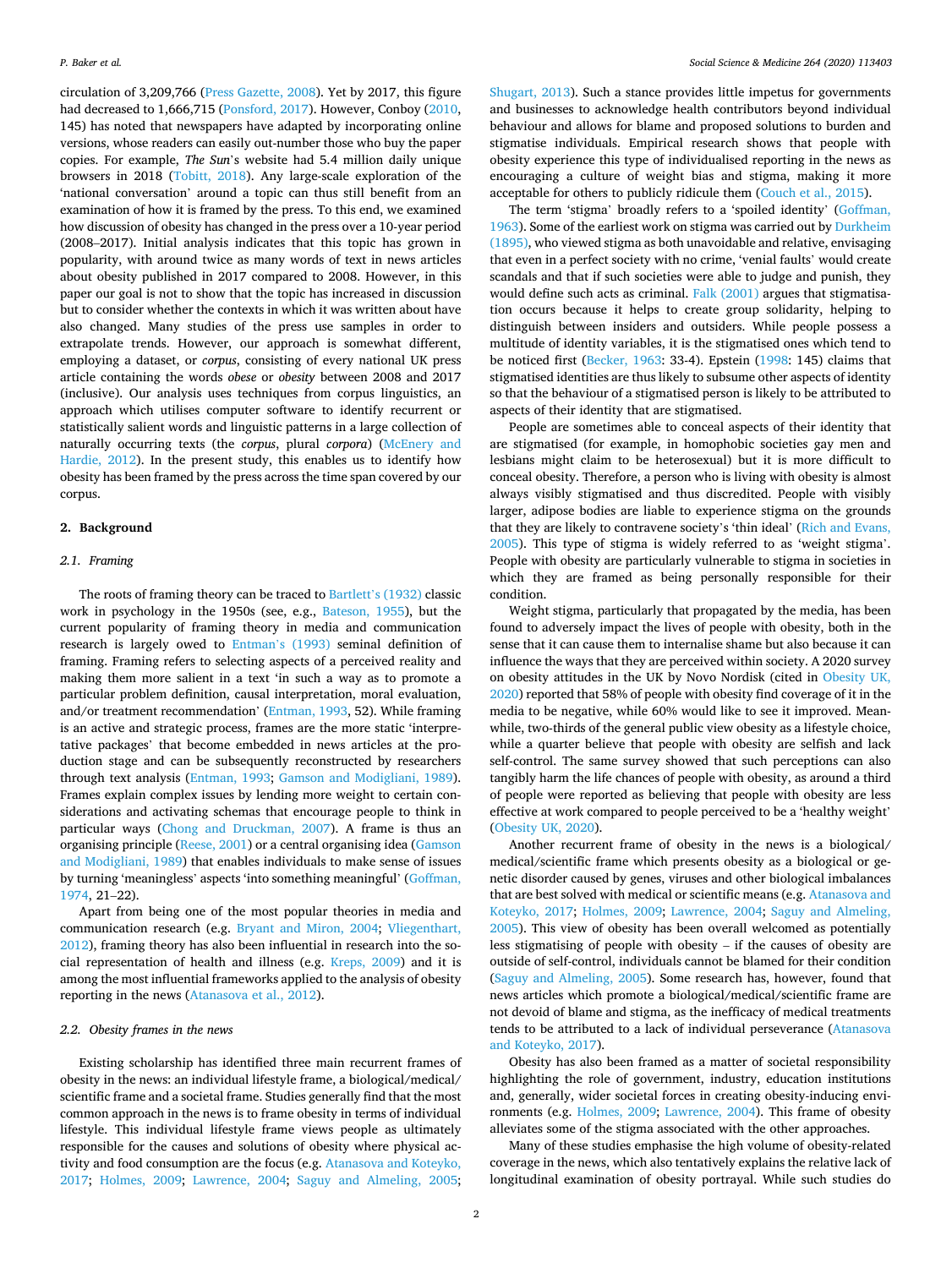circulation of 3,209,766 [\(Press Gazette, 2008\)](#page-8-0). Yet by 2017, this figure had decreased to 1,666,715 ([Ponsford, 2017](#page-8-0)). However, Conboy [\(2010](#page-7-0), 145) has noted that newspapers have adapted by incorporating online versions, whose readers can easily out-number those who buy the paper copies. For example, *The Sun*'s website had 5.4 million daily unique browsers in 2018 ([Tobitt, 2018](#page-8-0)). Any large-scale exploration of the 'national conversation' around a topic can thus still benefit from an examination of how it is framed by the press. To this end, we examined how discussion of obesity has changed in the press over a 10-year period (2008–2017). Initial analysis indicates that this topic has grown in popularity, with around twice as many words of text in news articles about obesity published in 2017 compared to 2008. However, in this paper our goal is not to show that the topic has increased in discussion but to consider whether the contexts in which it was written about have also changed. Many studies of the press use samples in order to extrapolate trends. However, our approach is somewhat different, employing a dataset, or *corpus*, consisting of every national UK press article containing the words *obese* or *obesity* between 2008 and 2017 (inclusive). Our analysis uses techniques from corpus linguistics, an approach which utilises computer software to identify recurrent or statistically salient words and linguistic patterns in a large collection of naturally occurring texts (the *corpus*, plural *corpora*) [\(McEnery and](#page-8-0)  [Hardie, 2012](#page-8-0)). In the present study, this enables us to identify how obesity has been framed by the press across the time span covered by our corpus.

# **2. Background**

## *2.1. Framing*

The roots of framing theory can be traced to Bartlett'[s \(1932\)](#page-7-0) classic work in psychology in the 1950s (see, e.g., [Bateson, 1955](#page-7-0)), but the current popularity of framing theory in media and communication research is largely owed to Entman'[s \(1993\)](#page-7-0) seminal definition of framing. Framing refers to selecting aspects of a perceived reality and making them more salient in a text 'in such a way as to promote a particular problem definition, causal interpretation, moral evaluation, and/or treatment recommendation' [\(Entman, 1993,](#page-7-0) 52). While framing is an active and strategic process, frames are the more static 'interpretative packages' that become embedded in news articles at the production stage and can be subsequently reconstructed by researchers through text analysis ([Entman, 1993](#page-7-0); [Gamson and Modigliani, 1989](#page-7-0)). Frames explain complex issues by lending more weight to certain considerations and activating schemas that encourage people to think in particular ways [\(Chong and Druckman, 2007\)](#page-7-0). A frame is thus an organising principle ([Reese, 2001\)](#page-8-0) or a central organising idea [\(Gamson](#page-7-0)  [and Modigliani, 1989](#page-7-0)) that enables individuals to make sense of issues by turning 'meaningless' aspects 'into something meaningful' [\(Goffman,](#page-8-0)  [1974,](#page-8-0) 21–22).

Apart from being one of the most popular theories in media and communication research (e.g. [Bryant and Miron, 2004;](#page-7-0) [Vliegenthart,](#page-8-0)  [2012\)](#page-8-0), framing theory has also been influential in research into the social representation of health and illness (e.g. [Kreps, 2009\)](#page-8-0) and it is among the most influential frameworks applied to the analysis of obesity reporting in the news ([Atanasova et al., 2012](#page-7-0)).

## *2.2. Obesity frames in the news*

Existing scholarship has identified three main recurrent frames of obesity in the news: an individual lifestyle frame, a biological/medical/ scientific frame and a societal frame. Studies generally find that the most common approach in the news is to frame obesity in terms of individual lifestyle. This individual lifestyle frame views people as ultimately responsible for the causes and solutions of obesity where physical activity and food consumption are the focus (e.g. [Atanasova and Koteyko,](#page-7-0)  [2017;](#page-7-0) [Holmes, 2009;](#page-8-0) [Lawrence, 2004](#page-8-0); [Saguy and Almeling, 2005](#page-8-0);

[Shugart, 2013\)](#page-8-0). Such a stance provides little impetus for governments and businesses to acknowledge health contributors beyond individual behaviour and allows for blame and proposed solutions to burden and stigmatise individuals. Empirical research shows that people with obesity experience this type of individualised reporting in the news as encouraging a culture of weight bias and stigma, making it more acceptable for others to publicly ridicule them ([Couch et al., 2015\)](#page-7-0).

The term 'stigma' broadly refers to a 'spoiled identity' [\(Goffman,](#page-8-0)  [1963\)](#page-8-0). Some of the earliest work on stigma was carried out by [Durkheim](#page-7-0)  [\(1895\),](#page-7-0) who viewed stigma as both unavoidable and relative, envisaging that even in a perfect society with no crime, 'venial faults' would create scandals and that if such societies were able to judge and punish, they would define such acts as criminal. [Falk \(2001\)](#page-7-0) argues that stigmatisation occurs because it helps to create group solidarity, helping to distinguish between insiders and outsiders. While people possess a multitude of identity variables, it is the stigmatised ones which tend to be noticed first [\(Becker, 1963](#page-7-0): 33-4). Epstein [\(1998](#page-7-0): 145) claims that stigmatised identities are thus likely to subsume other aspects of identity so that the behaviour of a stigmatised person is likely to be attributed to aspects of their identity that are stigmatised.

People are sometimes able to conceal aspects of their identity that are stigmatised (for example, in homophobic societies gay men and lesbians might claim to be heterosexual) but it is more difficult to conceal obesity. Therefore, a person who is living with obesity is almost always visibly stigmatised and thus discredited. People with visibly larger, adipose bodies are liable to experience stigma on the grounds that they are likely to contravene society's 'thin ideal' ([Rich and Evans,](#page-8-0)  [2005\)](#page-8-0). This type of stigma is widely referred to as 'weight stigma'. People with obesity are particularly vulnerable to stigma in societies in which they are framed as being personally responsible for their condition.

Weight stigma, particularly that propagated by the media, has been found to adversely impact the lives of people with obesity, both in the sense that it can cause them to internalise shame but also because it can influence the ways that they are perceived within society. A 2020 survey on obesity attitudes in the UK by Novo Nordisk (cited in [Obesity UK,](#page-8-0)  [2020\)](#page-8-0) reported that 58% of people with obesity find coverage of it in the media to be negative, while 60% would like to see it improved. Meanwhile, two-thirds of the general public view obesity as a lifestyle choice, while a quarter believe that people with obesity are selfish and lack self-control. The same survey showed that such perceptions can also tangibly harm the life chances of people with obesity, as around a third of people were reported as believing that people with obesity are less effective at work compared to people perceived to be a 'healthy weight' ([Obesity UK, 2020\)](#page-8-0).

Another recurrent frame of obesity in the news is a biological/ medical/scientific frame which presents obesity as a biological or genetic disorder caused by genes, viruses and other biological imbalances that are best solved with medical or scientific means (e.g. [Atanasova and](#page-7-0)  [Koteyko, 2017;](#page-7-0) [Holmes, 2009](#page-8-0); [Lawrence, 2004](#page-8-0); [Saguy and Almeling,](#page-8-0)  [2005\)](#page-8-0). This view of obesity has been overall welcomed as potentially less stigmatising of people with obesity – if the causes of obesity are outside of self-control, individuals cannot be blamed for their condition ([Saguy and Almeling, 2005\)](#page-8-0). Some research has, however, found that news articles which promote a biological/medical/scientific frame are not devoid of blame and stigma, as the inefficacy of medical treatments tends to be attributed to a lack of individual perseverance [\(Atanasova](#page-7-0)  [and Koteyko, 2017](#page-7-0)).

Obesity has also been framed as a matter of societal responsibility highlighting the role of government, industry, education institutions and, generally, wider societal forces in creating obesity-inducing environments (e.g. [Holmes, 2009;](#page-8-0) [Lawrence, 2004\)](#page-8-0). This frame of obesity alleviates some of the stigma associated with the other approaches.

Many of these studies emphasise the high volume of obesity-related coverage in the news, which also tentatively explains the relative lack of longitudinal examination of obesity portrayal. While such studies do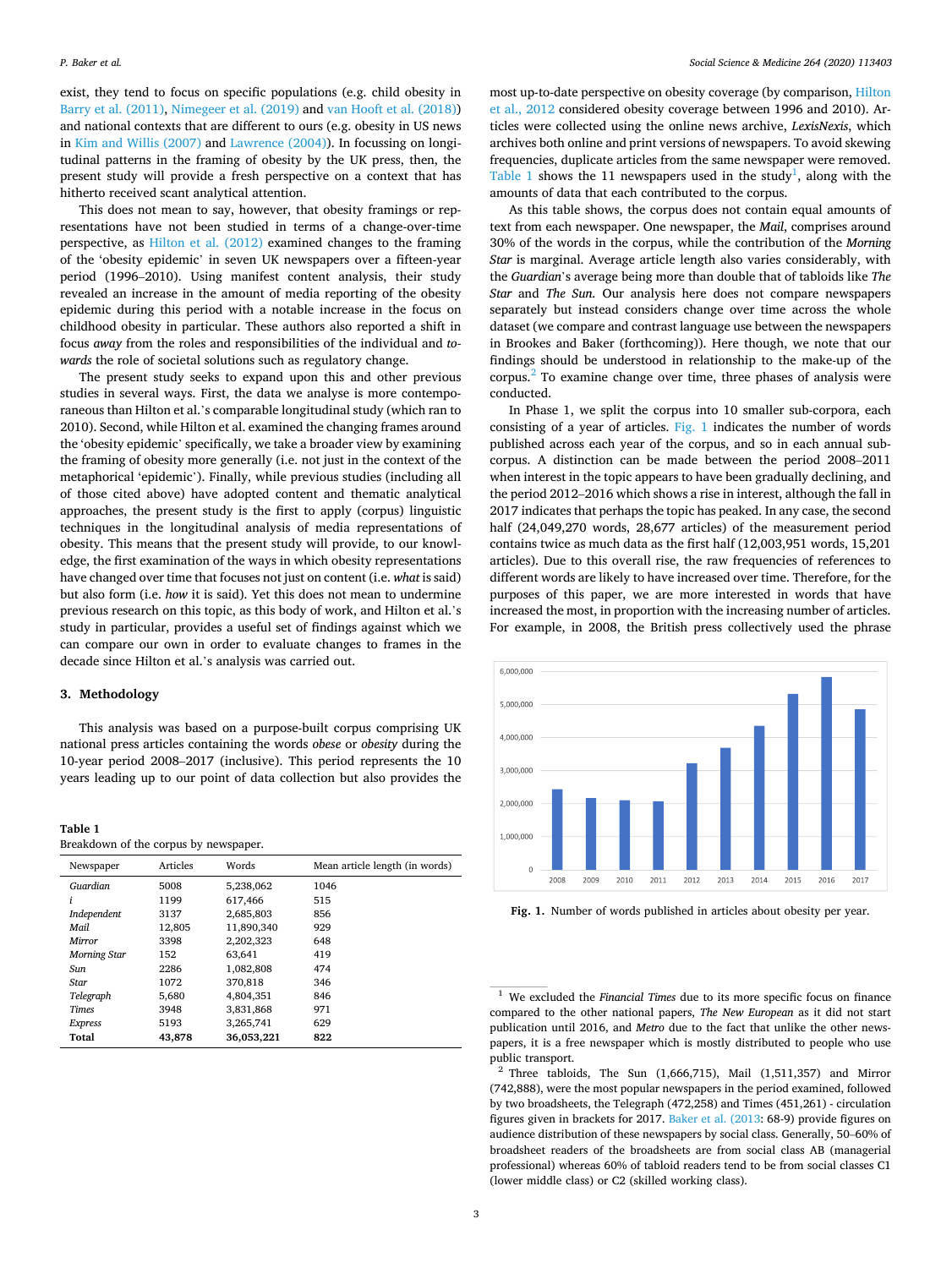<span id="page-2-0"></span>exist, they tend to focus on specific populations (e.g. child obesity in [Barry et al. \(2011\),](#page-7-0) [Nimegeer et al. \(2019\)](#page-8-0) and [van Hooft et al. \(2018\)\)](#page-8-0) and national contexts that are different to ours (e.g. obesity in US news in [Kim and Willis \(2007\)](#page-8-0) and [Lawrence \(2004\)](#page-8-0)). In focussing on longitudinal patterns in the framing of obesity by the UK press, then, the present study will provide a fresh perspective on a context that has hitherto received scant analytical attention.

This does not mean to say, however, that obesity framings or representations have not been studied in terms of a change-over-time perspective, as [Hilton et al. \(2012\)](#page-8-0) examined changes to the framing of the 'obesity epidemic' in seven UK newspapers over a fifteen-year period (1996–2010). Using manifest content analysis, their study revealed an increase in the amount of media reporting of the obesity epidemic during this period with a notable increase in the focus on childhood obesity in particular. These authors also reported a shift in focus *away* from the roles and responsibilities of the individual and *towards* the role of societal solutions such as regulatory change.

The present study seeks to expand upon this and other previous studies in several ways. First, the data we analyse is more contemporaneous than Hilton et al.'s comparable longitudinal study (which ran to 2010). Second, while Hilton et al. examined the changing frames around the 'obesity epidemic' specifically, we take a broader view by examining the framing of obesity more generally (i.e. not just in the context of the metaphorical 'epidemic'). Finally, while previous studies (including all of those cited above) have adopted content and thematic analytical approaches, the present study is the first to apply (corpus) linguistic techniques in the longitudinal analysis of media representations of obesity. This means that the present study will provide, to our knowledge, the first examination of the ways in which obesity representations have changed over time that focuses not just on content (i.e. *what* is said) but also form (i.e. *how* it is said). Yet this does not mean to undermine previous research on this topic, as this body of work, and Hilton et al.'s study in particular, provides a useful set of findings against which we can compare our own in order to evaluate changes to frames in the decade since Hilton et al.'s analysis was carried out.

### **3. Methodology**

This analysis was based on a purpose-built corpus comprising UK national press articles containing the words *obese* or *obesity* during the 10-year period 2008–2017 (inclusive). This period represents the 10 years leading up to our point of data collection but also provides the

**Table 1** 

|  |  | Breakdown of the corpus by newspaper. |
|--|--|---------------------------------------|
|  |  |                                       |

| Newspaper           | Articles | Words      | Mean article length (in words) |
|---------------------|----------|------------|--------------------------------|
| Guardian            | 5008     | 5,238,062  | 1046                           |
| i                   | 1199     | 617.466    | 515                            |
| Independent         | 3137     | 2.685.803  | 856                            |
| Mail                | 12,805   | 11.890.340 | 929                            |
| Mirror              | 3398     | 2,202,323  | 648                            |
| <b>Morning Star</b> | 152      | 63.641     | 419                            |
| Sun                 | 2286     | 1.082.808  | 474                            |
| Star                | 1072     | 370,818    | 346                            |
| Telegraph           | 5,680    | 4.804.351  | 846                            |
| <b>Times</b>        | 3948     | 3.831.868  | 971                            |
| Express             | 5193     | 3,265,741  | 629                            |
| Total               | 43,878   | 36,053,221 | 822                            |

most up-to-date perspective on obesity coverage (by comparison, [Hilton](#page-8-0)  [et al., 2012](#page-8-0) considered obesity coverage between 1996 and 2010). Articles were collected using the online news archive, *LexisNexis*, which archives both online and print versions of newspapers. To avoid skewing frequencies, duplicate articles from the same newspaper were removed. Table 1 shows the 11 newspapers used in the study<sup>1</sup>, along with the amounts of data that each contributed to the corpus.

As this table shows, the corpus does not contain equal amounts of text from each newspaper. One newspaper, the *Mail*, comprises around 30% of the words in the corpus, while the contribution of the *Morning Star* is marginal. Average article length also varies considerably, with the *Guardian*'s average being more than double that of tabloids like *The Star* and *The Sun*. Our analysis here does not compare newspapers separately but instead considers change over time across the whole dataset (we compare and contrast language use between the newspapers in Brookes and Baker (forthcoming)). Here though, we note that our findings should be understood in relationship to the make-up of the corpus.2 To examine change over time, three phases of analysis were conducted.

In Phase 1, we split the corpus into 10 smaller sub-corpora, each consisting of a year of articles. Fig. 1 indicates the number of words published across each year of the corpus, and so in each annual subcorpus. A distinction can be made between the period 2008–2011 when interest in the topic appears to have been gradually declining, and the period 2012–2016 which shows a rise in interest, although the fall in 2017 indicates that perhaps the topic has peaked. In any case, the second half (24,049,270 words, 28,677 articles) of the measurement period contains twice as much data as the first half (12,003,951 words, 15,201 articles). Due to this overall rise, the raw frequencies of references to different words are likely to have increased over time. Therefore, for the purposes of this paper, we are more interested in words that have increased the most, in proportion with the increasing number of articles. For example, in 2008, the British press collectively used the phrase



**Fig. 1.** Number of words published in articles about obesity per year.

<sup>&</sup>lt;sup>1</sup> We excluded the *Financial Times* due to its more specific focus on finance compared to the other national papers, *The New European* as it did not start publication until 2016, and *Metro* due to the fact that unlike the other newspapers, it is a free newspaper which is mostly distributed to people who use

 $2$  Three tabloids, The Sun (1,666,715), Mail (1,511,357) and Mirror (742,888), were the most popular newspapers in the period examined, followed by two broadsheets, the Telegraph (472,258) and Times (451,261) - circulation figures given in brackets for 2017. [Baker et al. \(2013:](#page-7-0) 68-9) provide figures on audience distribution of these newspapers by social class. Generally, 50–60% of broadsheet readers of the broadsheets are from social class AB (managerial professional) whereas 60% of tabloid readers tend to be from social classes C1 (lower middle class) or C2 (skilled working class).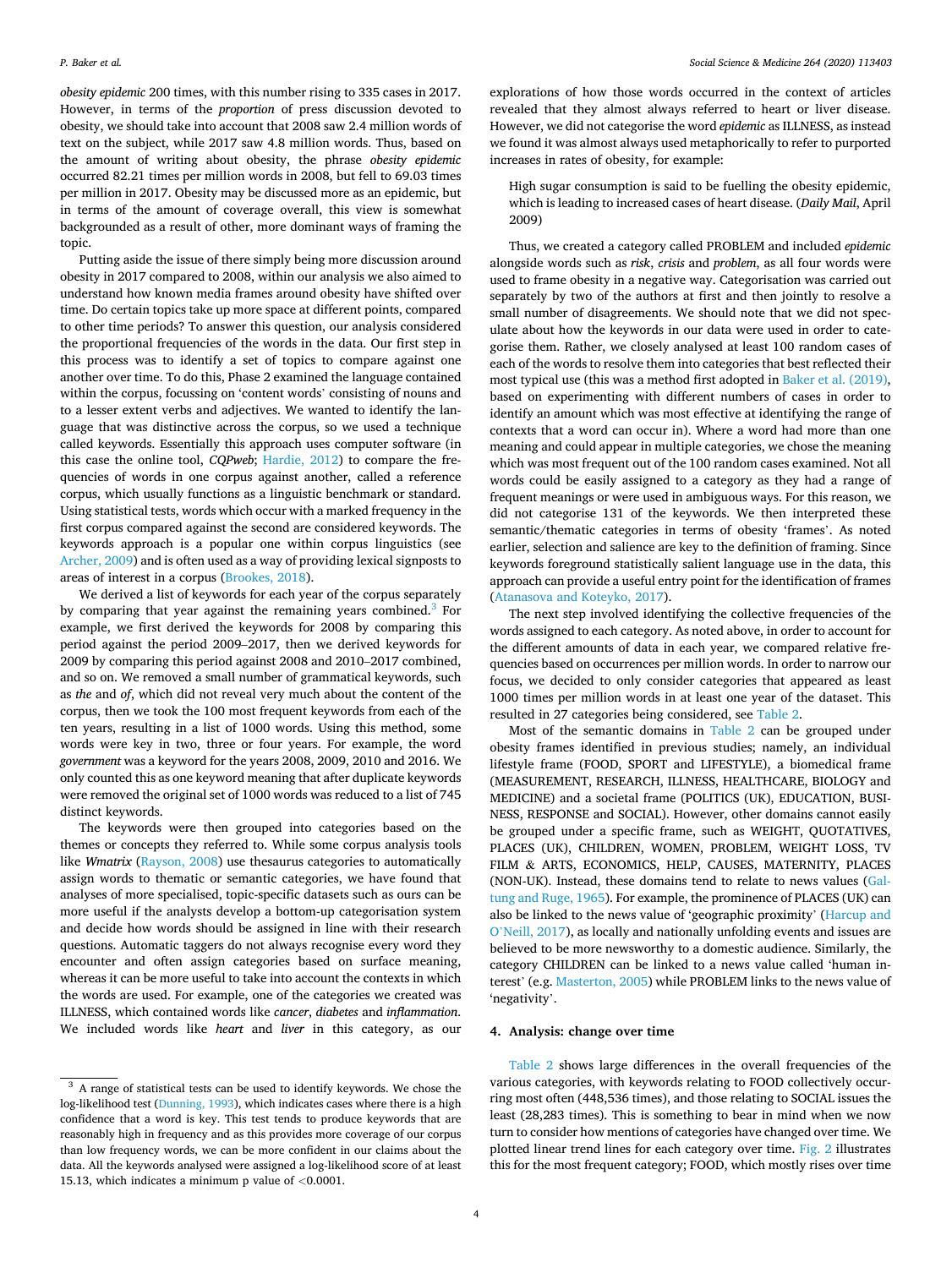*obesity epidemic* 200 times, with this number rising to 335 cases in 2017. However, in terms of the *proportion* of press discussion devoted to obesity, we should take into account that 2008 saw 2.4 million words of text on the subject, while 2017 saw 4.8 million words. Thus, based on the amount of writing about obesity, the phrase *obesity epidemic*  occurred 82.21 times per million words in 2008, but fell to 69.03 times per million in 2017. Obesity may be discussed more as an epidemic, but in terms of the amount of coverage overall, this view is somewhat backgrounded as a result of other, more dominant ways of framing the topic.

Putting aside the issue of there simply being more discussion around obesity in 2017 compared to 2008, within our analysis we also aimed to understand how known media frames around obesity have shifted over time. Do certain topics take up more space at different points, compared to other time periods? To answer this question, our analysis considered the proportional frequencies of the words in the data. Our first step in this process was to identify a set of topics to compare against one another over time. To do this, Phase 2 examined the language contained within the corpus, focussing on 'content words' consisting of nouns and to a lesser extent verbs and adjectives. We wanted to identify the language that was distinctive across the corpus, so we used a technique called keywords. Essentially this approach uses computer software (in this case the online tool, *CQPweb*; [Hardie, 2012\)](#page-8-0) to compare the frequencies of words in one corpus against another, called a reference corpus, which usually functions as a linguistic benchmark or standard. Using statistical tests, words which occur with a marked frequency in the first corpus compared against the second are considered keywords. The keywords approach is a popular one within corpus linguistics (see [Archer, 2009](#page-7-0)) and is often used as a way of providing lexical signposts to areas of interest in a corpus ([Brookes, 2018\)](#page-7-0).

We derived a list of keywords for each year of the corpus separately by comparing that year against the remaining years combined.<sup>3</sup> For example, we first derived the keywords for 2008 by comparing this period against the period 2009–2017, then we derived keywords for 2009 by comparing this period against 2008 and 2010–2017 combined, and so on. We removed a small number of grammatical keywords, such as *the* and *of*, which did not reveal very much about the content of the corpus, then we took the 100 most frequent keywords from each of the ten years, resulting in a list of 1000 words. Using this method, some words were key in two, three or four years. For example, the word *government* was a keyword for the years 2008, 2009, 2010 and 2016. We only counted this as one keyword meaning that after duplicate keywords were removed the original set of 1000 words was reduced to a list of 745 distinct keywords.

The keywords were then grouped into categories based on the themes or concepts they referred to. While some corpus analysis tools like *Wmatrix* [\(Rayson, 2008](#page-8-0)) use thesaurus categories to automatically assign words to thematic or semantic categories, we have found that analyses of more specialised, topic-specific datasets such as ours can be more useful if the analysts develop a bottom-up categorisation system and decide how words should be assigned in line with their research questions. Automatic taggers do not always recognise every word they encounter and often assign categories based on surface meaning, whereas it can be more useful to take into account the contexts in which the words are used. For example, one of the categories we created was ILLNESS, which contained words like *cancer*, *diabetes* and *inflammation*. We included words like *heart* and *liver* in this category, as our explorations of how those words occurred in the context of articles revealed that they almost always referred to heart or liver disease. However, we did not categorise the word *epidemic* as ILLNESS, as instead we found it was almost always used metaphorically to refer to purported increases in rates of obesity, for example:

High sugar consumption is said to be fuelling the obesity epidemic, which is leading to increased cases of heart disease. (*Daily Mail*, April 2009)

Thus, we created a category called PROBLEM and included *epidemic*  alongside words such as *risk*, *crisis* and *problem*, as all four words were used to frame obesity in a negative way. Categorisation was carried out separately by two of the authors at first and then jointly to resolve a small number of disagreements. We should note that we did not speculate about how the keywords in our data were used in order to categorise them. Rather, we closely analysed at least 100 random cases of each of the words to resolve them into categories that best reflected their most typical use (this was a method first adopted in [Baker et al. \(2019\)](#page-7-0), based on experimenting with different numbers of cases in order to identify an amount which was most effective at identifying the range of contexts that a word can occur in). Where a word had more than one meaning and could appear in multiple categories, we chose the meaning which was most frequent out of the 100 random cases examined. Not all words could be easily assigned to a category as they had a range of frequent meanings or were used in ambiguous ways. For this reason, we did not categorise 131 of the keywords. We then interpreted these semantic/thematic categories in terms of obesity 'frames'. As noted earlier, selection and salience are key to the definition of framing. Since keywords foreground statistically salient language use in the data, this approach can provide a useful entry point for the identification of frames ([Atanasova and Koteyko, 2017](#page-7-0)).

The next step involved identifying the collective frequencies of the words assigned to each category. As noted above, in order to account for the different amounts of data in each year, we compared relative frequencies based on occurrences per million words. In order to narrow our focus, we decided to only consider categories that appeared as least 1000 times per million words in at least one year of the dataset. This resulted in 27 categories being considered, see [Table 2](#page-4-0).

Most of the semantic domains in [Table 2](#page-4-0) can be grouped under obesity frames identified in previous studies; namely, an individual lifestyle frame (FOOD, SPORT and LIFESTYLE), a biomedical frame (MEASUREMENT, RESEARCH, ILLNESS, HEALTHCARE, BIOLOGY and MEDICINE) and a societal frame (POLITICS (UK), EDUCATION, BUSI-NESS, RESPONSE and SOCIAL). However, other domains cannot easily be grouped under a specific frame, such as WEIGHT, QUOTATIVES, PLACES (UK), CHILDREN, WOMEN, PROBLEM, WEIGHT LOSS, TV FILM & ARTS, ECONOMICS, HELP, CAUSES, MATERNITY, PLACES (NON-UK). Instead, these domains tend to relate to news values [\(Gal](#page-7-0)[tung and Ruge, 1965\)](#page-7-0). For example, the prominence of PLACES (UK) can also be linked to the news value of 'geographic proximity' ([Harcup and](#page-8-0)  O'[Neill, 2017](#page-8-0)), as locally and nationally unfolding events and issues are believed to be more newsworthy to a domestic audience. Similarly, the category CHILDREN can be linked to a news value called 'human interest' (e.g. [Masterton, 2005](#page-8-0)) while PROBLEM links to the news value of 'negativity'.

## **4. Analysis: change over time**

[Table 2](#page-4-0) shows large differences in the overall frequencies of the various categories, with keywords relating to FOOD collectively occurring most often (448,536 times), and those relating to SOCIAL issues the least (28,283 times). This is something to bear in mind when we now turn to consider how mentions of categories have changed over time. We plotted linear trend lines for each category over time. [Fig. 2](#page-4-0) illustrates this for the most frequent category; FOOD, which mostly rises over time

 $^3$  A range of statistical tests can be used to identify keywords. We chose the log-likelihood test [\(Dunning, 1993](#page-7-0)), which indicates cases where there is a high confidence that a word is key. This test tends to produce keywords that are reasonably high in frequency and as this provides more coverage of our corpus than low frequency words, we can be more confident in our claims about the data. All the keywords analysed were assigned a log-likelihood score of at least 15.13, which indicates a minimum p value of *<*0.0001.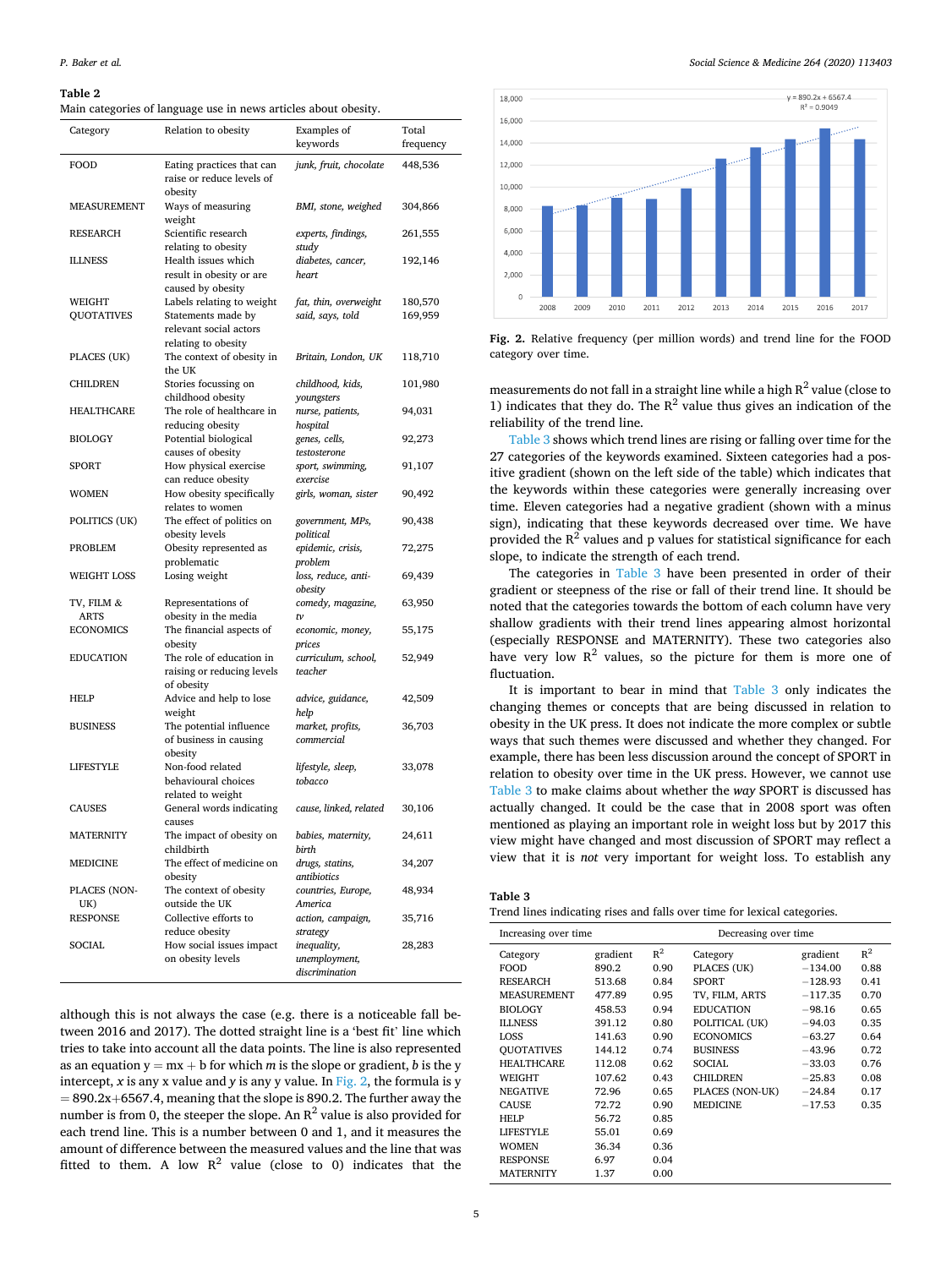### <span id="page-4-0"></span>**Table 2**

Main categories of language use in news articles about obesity.

| Category                    | Relation to obesity                                                                              | Examples of<br>keywords                        | Total<br>frequency |
|-----------------------------|--------------------------------------------------------------------------------------------------|------------------------------------------------|--------------------|
| FOOD                        | Eating practices that can<br>raise or reduce levels of<br>obesity                                | junk, fruit, chocolate                         | 448,536            |
| <b>MEASUREMENT</b>          | Ways of measuring<br>weight                                                                      | BMI, stone, weighed                            | 304,866            |
| RESEARCH                    | Scientific research<br>relating to obesity                                                       | experts, findings,<br>study                    | 261,555            |
| <b>ILLNESS</b>              | Health issues which<br>result in obesity or are<br>caused by obesity                             | diabetes, cancer,<br>heart                     | 192,146            |
| WEIGHT<br><b>QUOTATIVES</b> | Labels relating to weight<br>Statements made by<br>relevant social actors<br>relating to obesity | fat, thin, overweight<br>said, says, told      | 180,570<br>169,959 |
| PLACES (UK)                 | The context of obesity in<br>the UK                                                              | Britain, London, UK                            | 118,710            |
| CHILDREN                    | Stories focussing on<br>childhood obesity                                                        | childhood, kids,<br>youngsters                 | 101,980            |
| <b>HEALTHCARE</b>           | The role of healthcare in<br>reducing obesity                                                    | nurse, patients,<br>hospital                   | 94,031             |
| <b>BIOLOGY</b>              | Potential biological<br>causes of obesity                                                        | genes, cells,<br>testosterone                  | 92,273             |
| SPORT                       | How physical exercise<br>can reduce obesity                                                      | sport, swimming,<br>exercise                   | 91,107             |
| <b>WOMEN</b>                | How obesity specifically<br>relates to women                                                     | girls, woman, sister                           | 90,492             |
| POLITICS (UK)               | The effect of politics on<br>obesity levels                                                      | government, MPs,<br>political                  | 90,438             |
| <b>PROBLEM</b>              | Obesity represented as<br>problematic                                                            | epidemic, crisis,<br>problem                   | 72,275             |
| <b>WEIGHT LOSS</b>          | Losing weight                                                                                    | loss, reduce, anti-<br>obesity                 | 69,439             |
| TV, FILM &                  | Representations of                                                                               | comedy, magazine,                              | 63,950             |
| ARTS                        | obesity in the media                                                                             | tv                                             |                    |
| <b>ECONOMICS</b>            | The financial aspects of<br>obesity                                                              | economic, money,<br>prices                     | 55,175             |
| <b>EDUCATION</b>            | The role of education in<br>raising or reducing levels<br>of obesity                             | curriculum, school,<br>teacher                 | 52,949             |
| HELP                        | Advice and help to lose<br>weight                                                                | advice, guidance,<br>help                      | 42,509             |
| <b>BUSINESS</b>             | The potential influence<br>of business in causing<br>obesity                                     | market, profits,<br>commercial                 | 36,703             |
| <b>LIFESTYLE</b>            | Non-food related<br>behavioural choices<br>related to weight                                     | lifestyle, sleep,<br>tobacco                   | 33,078             |
| <b>CAUSES</b>               | General words indicating<br>causes                                                               | cause, linked, related                         | 30,106             |
| <b>MATERNITY</b>            | The impact of obesity on<br>childbirth                                                           | babies, maternity,<br>birth                    | 24,611             |
| <b>MEDICINE</b>             | The effect of medicine on<br>obesity                                                             | drugs, statins,<br>antibiotics                 | 34,207             |
| PLACES (NON-                | The context of obesity                                                                           | countries, Europe,                             | 48,934             |
| UK)                         | outside the UK                                                                                   | America                                        |                    |
| <b>RESPONSE</b>             | Collective efforts to<br>reduce obesity                                                          | action, campaign,<br>strategy                  | 35,716             |
| SOCIAL                      | How social issues impact<br>on obesity levels                                                    | inequality,<br>unemployment,<br>discrimination | 28,283             |

although this is not always the case (e.g. there is a noticeable fall between 2016 and 2017). The dotted straight line is a 'best fit' line which tries to take into account all the data points. The line is also represented as an equation  $y = mx + b$  for which *m* is the slope or gradient, *b* is the y intercept, *x* is any *x* value and *y* is any *y* value. In Fig. 2, the formula is *y*  $= 890.2x+6567.4$ , meaning that the slope is 890.2. The further away the number is from 0, the steeper the slope. An  $R^2$  value is also provided for each trend line. This is a number between 0 and 1, and it measures the amount of difference between the measured values and the line that was fitted to them. A low  $R^2$  value (close to 0) indicates that the *Social Science & Medicine 264 (2020) 113403*



**Fig. 2.** Relative frequency (per million words) and trend line for the FOOD category over time.

measurements do not fall in a straight line while a high  $R^2$  value (close to 1) indicates that they do. The  $R^2$  value thus gives an indication of the reliability of the trend line.

Table 3 shows which trend lines are rising or falling over time for the 27 categories of the keywords examined. Sixteen categories had a positive gradient (shown on the left side of the table) which indicates that the keywords within these categories were generally increasing over time. Eleven categories had a negative gradient (shown with a minus sign), indicating that these keywords decreased over time. We have provided the  $R^2$  values and p values for statistical significance for each slope, to indicate the strength of each trend.

The categories in Table 3 have been presented in order of their gradient or steepness of the rise or fall of their trend line. It should be noted that the categories towards the bottom of each column have very shallow gradients with their trend lines appearing almost horizontal (especially RESPONSE and MATERNITY). These two categories also have very low  $R^2$  values, so the picture for them is more one of fluctuation.

It is important to bear in mind that Table 3 only indicates the changing themes or concepts that are being discussed in relation to obesity in the UK press. It does not indicate the more complex or subtle ways that such themes were discussed and whether they changed. For example, there has been less discussion around the concept of SPORT in relation to obesity over time in the UK press. However, we cannot use Table 3 to make claims about whether the *way* SPORT is discussed has actually changed. It could be the case that in 2008 sport was often mentioned as playing an important role in weight loss but by 2017 this view might have changed and most discussion of SPORT may reflect a view that it is *not* very important for weight loss. To establish any

| ×<br>۰. |  |
|---------|--|
|---------|--|

| Trend lines indicating rises and falls over time for lexical categories. |  |  |  |
|--------------------------------------------------------------------------|--|--|--|
|                                                                          |  |  |  |

| Increasing over time |          |       | Decreasing over time |           |       |
|----------------------|----------|-------|----------------------|-----------|-------|
| Category             | gradient | $R^2$ | Category             | gradient  | $R^2$ |
| <b>FOOD</b>          | 890.2    | 0.90  | PLACES (UK)          | $-134.00$ | 0.88  |
| <b>RESEARCH</b>      | 513.68   | 0.84  | <b>SPORT</b>         | $-128.93$ | 0.41  |
| <b>MEASUREMENT</b>   | 477.89   | 0.95  | TV, FILM, ARTS       | $-117.35$ | 0.70  |
| <b>BIOLOGY</b>       | 458.53   | 0.94  | <b>EDUCATION</b>     | $-98.16$  | 0.65  |
| <b>ILLNESS</b>       | 391.12   | 0.80  | POLITICAL (UK)       | $-94.03$  | 0.35  |
| LOSS                 | 141.63   | 0.90  | <b>ECONOMICS</b>     | $-63.27$  | 0.64  |
| <b>QUOTATIVES</b>    | 144.12   | 0.74  | <b>BUSINESS</b>      | $-43.96$  | 0.72  |
| <b>HEALTHCARE</b>    | 112.08   | 0.62  | SOCIAL.              | $-33.03$  | 0.76  |
| WEIGHT               | 107.62   | 0.43  | <b>CHILDREN</b>      | $-25.83$  | 0.08  |
| <b>NEGATIVE</b>      | 72.96    | 0.65  | PLACES (NON-UK)      | $-24.84$  | 0.17  |
| <b>CAUSE</b>         | 72.72    | 0.90  | <b>MEDICINE</b>      | $-17.53$  | 0.35  |
| HELP                 | 56.72    | 0.85  |                      |           |       |
| <b>LIFESTYLE</b>     | 55.01    | 0.69  |                      |           |       |
| <b>WOMEN</b>         | 36.34    | 0.36  |                      |           |       |
| <b>RESPONSE</b>      | 6.97     | 0.04  |                      |           |       |
| <b>MATERNITY</b>     | 1.37     | 0.00  |                      |           |       |
|                      |          |       |                      |           |       |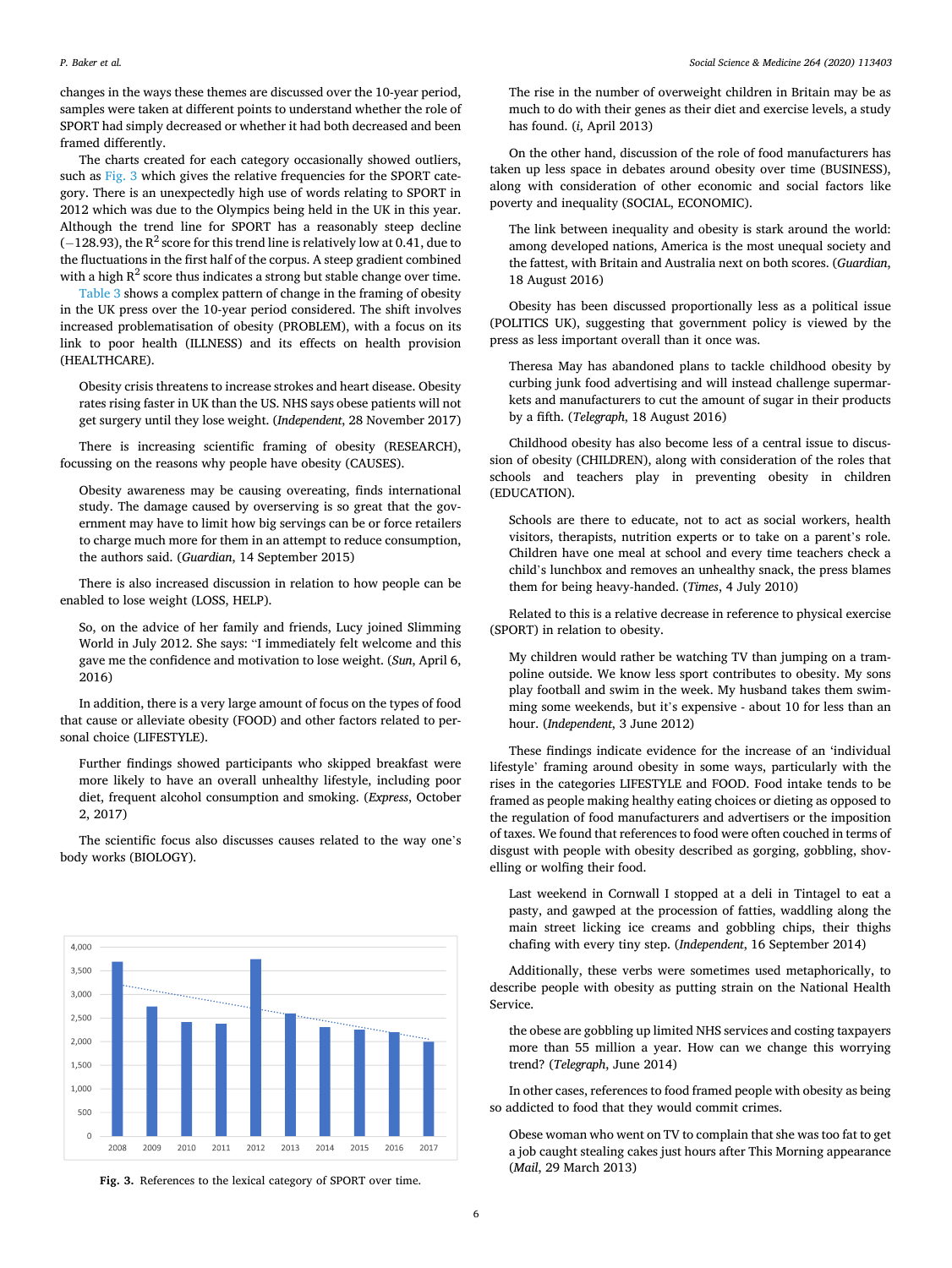changes in the ways these themes are discussed over the 10-year period, samples were taken at different points to understand whether the role of SPORT had simply decreased or whether it had both decreased and been framed differently.

The charts created for each category occasionally showed outliers, such as Fig. 3 which gives the relative frequencies for the SPORT category. There is an unexpectedly high use of words relating to SPORT in 2012 which was due to the Olympics being held in the UK in this year. Although the trend line for SPORT has a reasonably steep decline ( $-128.93$ ), the R<sup>2</sup> score for this trend line is relatively low at 0.41, due to the fluctuations in the first half of the corpus. A steep gradient combined with a high  $R^2$  score thus indicates a strong but stable change over time.

[Table 3](#page-4-0) shows a complex pattern of change in the framing of obesity in the UK press over the 10-year period considered. The shift involves increased problematisation of obesity (PROBLEM), with a focus on its link to poor health (ILLNESS) and its effects on health provision (HEALTHCARE).

Obesity crisis threatens to increase strokes and heart disease. Obesity rates rising faster in UK than the US. NHS says obese patients will not get surgery until they lose weight. (*Independent*, 28 November 2017)

There is increasing scientific framing of obesity (RESEARCH), focussing on the reasons why people have obesity (CAUSES).

Obesity awareness may be causing overeating, finds international study. The damage caused by overserving is so great that the government may have to limit how big servings can be or force retailers to charge much more for them in an attempt to reduce consumption, the authors said. (*Guardian*, 14 September 2015)

There is also increased discussion in relation to how people can be enabled to lose weight (LOSS, HELP).

So, on the advice of her family and friends, Lucy joined Slimming World in July 2012. She says: "I immediately felt welcome and this gave me the confidence and motivation to lose weight. (*Sun*, April 6, 2016)

In addition, there is a very large amount of focus on the types of food that cause or alleviate obesity (FOOD) and other factors related to personal choice (LIFESTYLE).

Further findings showed participants who skipped breakfast were more likely to have an overall unhealthy lifestyle, including poor diet, frequent alcohol consumption and smoking. (*Express*, October 2, 2017)

The scientific focus also discusses causes related to the way one's body works (BIOLOGY).



**Fig. 3.** References to the lexical category of SPORT over time.

The rise in the number of overweight children in Britain may be as much to do with their genes as their diet and exercise levels, a study has found. (*i*, April 2013)

On the other hand, discussion of the role of food manufacturers has taken up less space in debates around obesity over time (BUSINESS), along with consideration of other economic and social factors like poverty and inequality (SOCIAL, ECONOMIC).

The link between inequality and obesity is stark around the world: among developed nations, America is the most unequal society and the fattest, with Britain and Australia next on both scores. (*Guardian*, 18 August 2016)

Obesity has been discussed proportionally less as a political issue (POLITICS UK), suggesting that government policy is viewed by the press as less important overall than it once was.

Theresa May has abandoned plans to tackle childhood obesity by curbing junk food advertising and will instead challenge supermarkets and manufacturers to cut the amount of sugar in their products by a fifth. (*Telegraph*, 18 August 2016)

Childhood obesity has also become less of a central issue to discussion of obesity (CHILDREN), along with consideration of the roles that schools and teachers play in preventing obesity in children (EDUCATION).

Schools are there to educate, not to act as social workers, health visitors, therapists, nutrition experts or to take on a parent's role. Children have one meal at school and every time teachers check a child's lunchbox and removes an unhealthy snack, the press blames them for being heavy-handed. (*Times*, 4 July 2010)

Related to this is a relative decrease in reference to physical exercise (SPORT) in relation to obesity.

My children would rather be watching TV than jumping on a trampoline outside. We know less sport contributes to obesity. My sons play football and swim in the week. My husband takes them swimming some weekends, but it's expensive - about 10 for less than an hour. (*Independent*, 3 June 2012)

These findings indicate evidence for the increase of an 'individual lifestyle' framing around obesity in some ways, particularly with the rises in the categories LIFESTYLE and FOOD. Food intake tends to be framed as people making healthy eating choices or dieting as opposed to the regulation of food manufacturers and advertisers or the imposition of taxes. We found that references to food were often couched in terms of disgust with people with obesity described as gorging, gobbling, shovelling or wolfing their food.

Last weekend in Cornwall I stopped at a deli in Tintagel to eat a pasty, and gawped at the procession of fatties, waddling along the main street licking ice creams and gobbling chips, their thighs chafing with every tiny step. (*Independent*, 16 September 2014)

Additionally, these verbs were sometimes used metaphorically, to describe people with obesity as putting strain on the National Health Service.

the obese are gobbling up limited NHS services and costing taxpayers more than 55 million a year. How can we change this worrying trend? (*Telegraph*, June 2014)

In other cases, references to food framed people with obesity as being so addicted to food that they would commit crimes.

Obese woman who went on TV to complain that she was too fat to get a job caught stealing cakes just hours after This Morning appearance (*Mail*, 29 March 2013)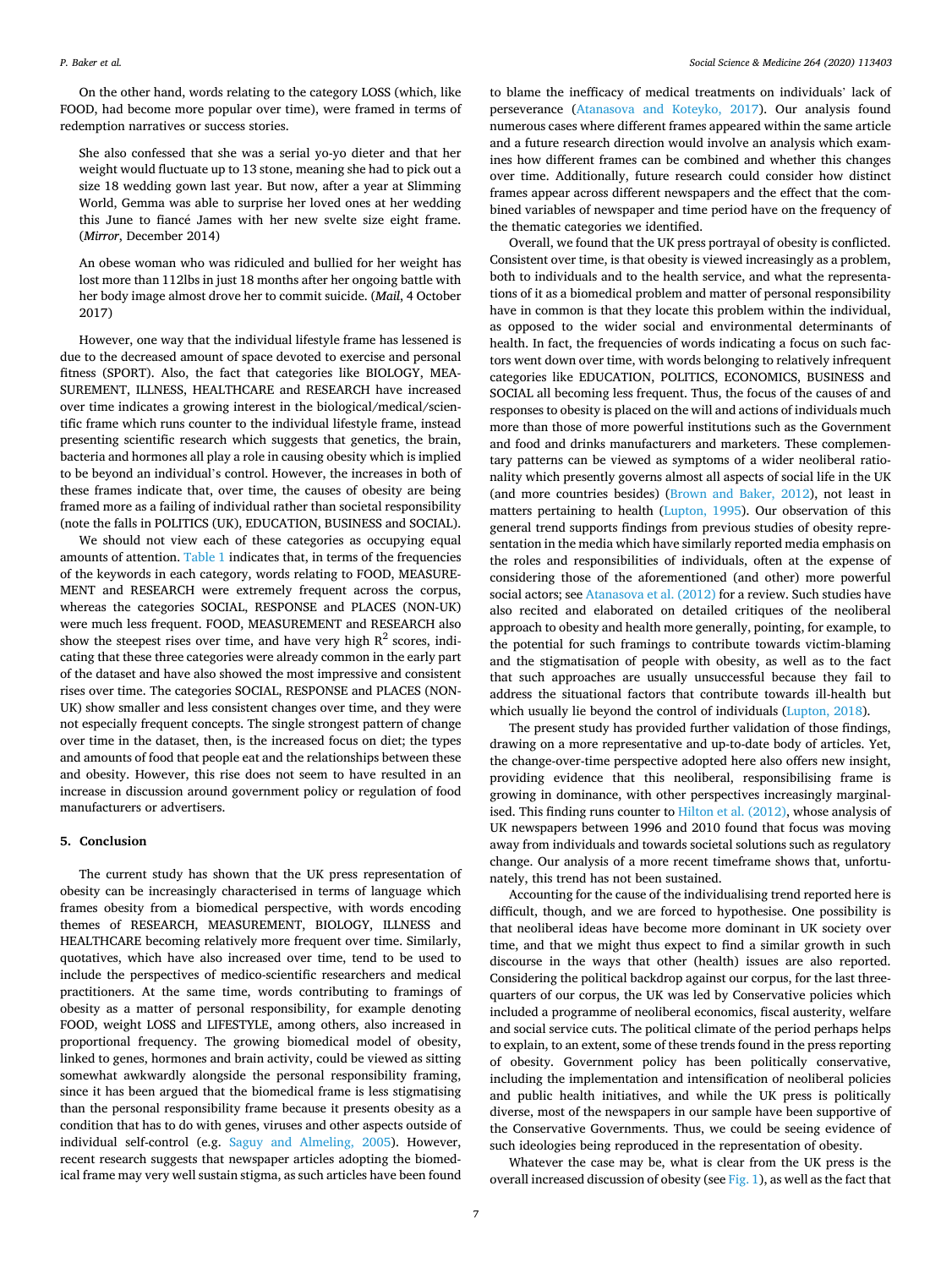On the other hand, words relating to the category LOSS (which, like FOOD, had become more popular over time), were framed in terms of redemption narratives or success stories.

She also confessed that she was a serial yo-yo dieter and that her weight would fluctuate up to 13 stone, meaning she had to pick out a size 18 wedding gown last year. But now, after a year at Slimming World, Gemma was able to surprise her loved ones at her wedding this June to fiancé James with her new svelte size eight frame. (*Mirror*, December 2014)

An obese woman who was ridiculed and bullied for her weight has lost more than 112lbs in just 18 months after her ongoing battle with her body image almost drove her to commit suicide. (*Mail*, 4 October 2017)

However, one way that the individual lifestyle frame has lessened is due to the decreased amount of space devoted to exercise and personal fitness (SPORT). Also, the fact that categories like BIOLOGY, MEA-SUREMENT, ILLNESS, HEALTHCARE and RESEARCH have increased over time indicates a growing interest in the biological/medical/scientific frame which runs counter to the individual lifestyle frame, instead presenting scientific research which suggests that genetics, the brain, bacteria and hormones all play a role in causing obesity which is implied to be beyond an individual's control. However, the increases in both of these frames indicate that, over time, the causes of obesity are being framed more as a failing of individual rather than societal responsibility (note the falls in POLITICS (UK), EDUCATION, BUSINESS and SOCIAL).

We should not view each of these categories as occupying equal amounts of attention. [Table 1](#page-2-0) indicates that, in terms of the frequencies of the keywords in each category, words relating to FOOD, MEASURE-MENT and RESEARCH were extremely frequent across the corpus, whereas the categories SOCIAL, RESPONSE and PLACES (NON-UK) were much less frequent. FOOD, MEASUREMENT and RESEARCH also show the steepest rises over time, and have very high  $R^2$  scores, indicating that these three categories were already common in the early part of the dataset and have also showed the most impressive and consistent rises over time. The categories SOCIAL, RESPONSE and PLACES (NON-UK) show smaller and less consistent changes over time, and they were not especially frequent concepts. The single strongest pattern of change over time in the dataset, then, is the increased focus on diet; the types and amounts of food that people eat and the relationships between these and obesity. However, this rise does not seem to have resulted in an increase in discussion around government policy or regulation of food manufacturers or advertisers.

#### **5. Conclusion**

The current study has shown that the UK press representation of obesity can be increasingly characterised in terms of language which frames obesity from a biomedical perspective, with words encoding themes of RESEARCH, MEASUREMENT, BIOLOGY, ILLNESS and HEALTHCARE becoming relatively more frequent over time. Similarly, quotatives, which have also increased over time, tend to be used to include the perspectives of medico-scientific researchers and medical practitioners. At the same time, words contributing to framings of obesity as a matter of personal responsibility, for example denoting FOOD, weight LOSS and LIFESTYLE, among others, also increased in proportional frequency. The growing biomedical model of obesity, linked to genes, hormones and brain activity, could be viewed as sitting somewhat awkwardly alongside the personal responsibility framing, since it has been argued that the biomedical frame is less stigmatising than the personal responsibility frame because it presents obesity as a condition that has to do with genes, viruses and other aspects outside of individual self-control (e.g. [Saguy and Almeling, 2005\)](#page-8-0). However, recent research suggests that newspaper articles adopting the biomedical frame may very well sustain stigma, as such articles have been found

to blame the inefficacy of medical treatments on individuals' lack of perseverance ([Atanasova and Koteyko, 2017\)](#page-7-0). Our analysis found numerous cases where different frames appeared within the same article and a future research direction would involve an analysis which examines how different frames can be combined and whether this changes over time. Additionally, future research could consider how distinct frames appear across different newspapers and the effect that the combined variables of newspaper and time period have on the frequency of the thematic categories we identified.

Overall, we found that the UK press portrayal of obesity is conflicted. Consistent over time, is that obesity is viewed increasingly as a problem, both to individuals and to the health service, and what the representations of it as a biomedical problem and matter of personal responsibility have in common is that they locate this problem within the individual, as opposed to the wider social and environmental determinants of health. In fact, the frequencies of words indicating a focus on such factors went down over time, with words belonging to relatively infrequent categories like EDUCATION, POLITICS, ECONOMICS, BUSINESS and SOCIAL all becoming less frequent. Thus, the focus of the causes of and responses to obesity is placed on the will and actions of individuals much more than those of more powerful institutions such as the Government and food and drinks manufacturers and marketers. These complementary patterns can be viewed as symptoms of a wider neoliberal rationality which presently governs almost all aspects of social life in the UK (and more countries besides) [\(Brown and Baker, 2012\)](#page-7-0), not least in matters pertaining to health ([Lupton, 1995](#page-8-0)). Our observation of this general trend supports findings from previous studies of obesity representation in the media which have similarly reported media emphasis on the roles and responsibilities of individuals, often at the expense of considering those of the aforementioned (and other) more powerful social actors; see [Atanasova et al. \(2012\)](#page-7-0) for a review. Such studies have also recited and elaborated on detailed critiques of the neoliberal approach to obesity and health more generally, pointing, for example, to the potential for such framings to contribute towards victim-blaming and the stigmatisation of people with obesity, as well as to the fact that such approaches are usually unsuccessful because they fail to address the situational factors that contribute towards ill-health but which usually lie beyond the control of individuals [\(Lupton, 2018\)](#page-8-0).

The present study has provided further validation of those findings, drawing on a more representative and up-to-date body of articles. Yet, the change-over-time perspective adopted here also offers new insight, providing evidence that this neoliberal, responsibilising frame is growing in dominance, with other perspectives increasingly marginalised. This finding runs counter to [Hilton et al. \(2012\)](#page-8-0), whose analysis of UK newspapers between 1996 and 2010 found that focus was moving away from individuals and towards societal solutions such as regulatory change. Our analysis of a more recent timeframe shows that, unfortunately, this trend has not been sustained.

Accounting for the cause of the individualising trend reported here is difficult, though, and we are forced to hypothesise. One possibility is that neoliberal ideas have become more dominant in UK society over time, and that we might thus expect to find a similar growth in such discourse in the ways that other (health) issues are also reported. Considering the political backdrop against our corpus, for the last threequarters of our corpus, the UK was led by Conservative policies which included a programme of neoliberal economics, fiscal austerity, welfare and social service cuts. The political climate of the period perhaps helps to explain, to an extent, some of these trends found in the press reporting of obesity. Government policy has been politically conservative, including the implementation and intensification of neoliberal policies and public health initiatives, and while the UK press is politically diverse, most of the newspapers in our sample have been supportive of the Conservative Governments. Thus, we could be seeing evidence of such ideologies being reproduced in the representation of obesity.

Whatever the case may be, what is clear from the UK press is the overall increased discussion of obesity (see [Fig. 1](#page-2-0)), as well as the fact that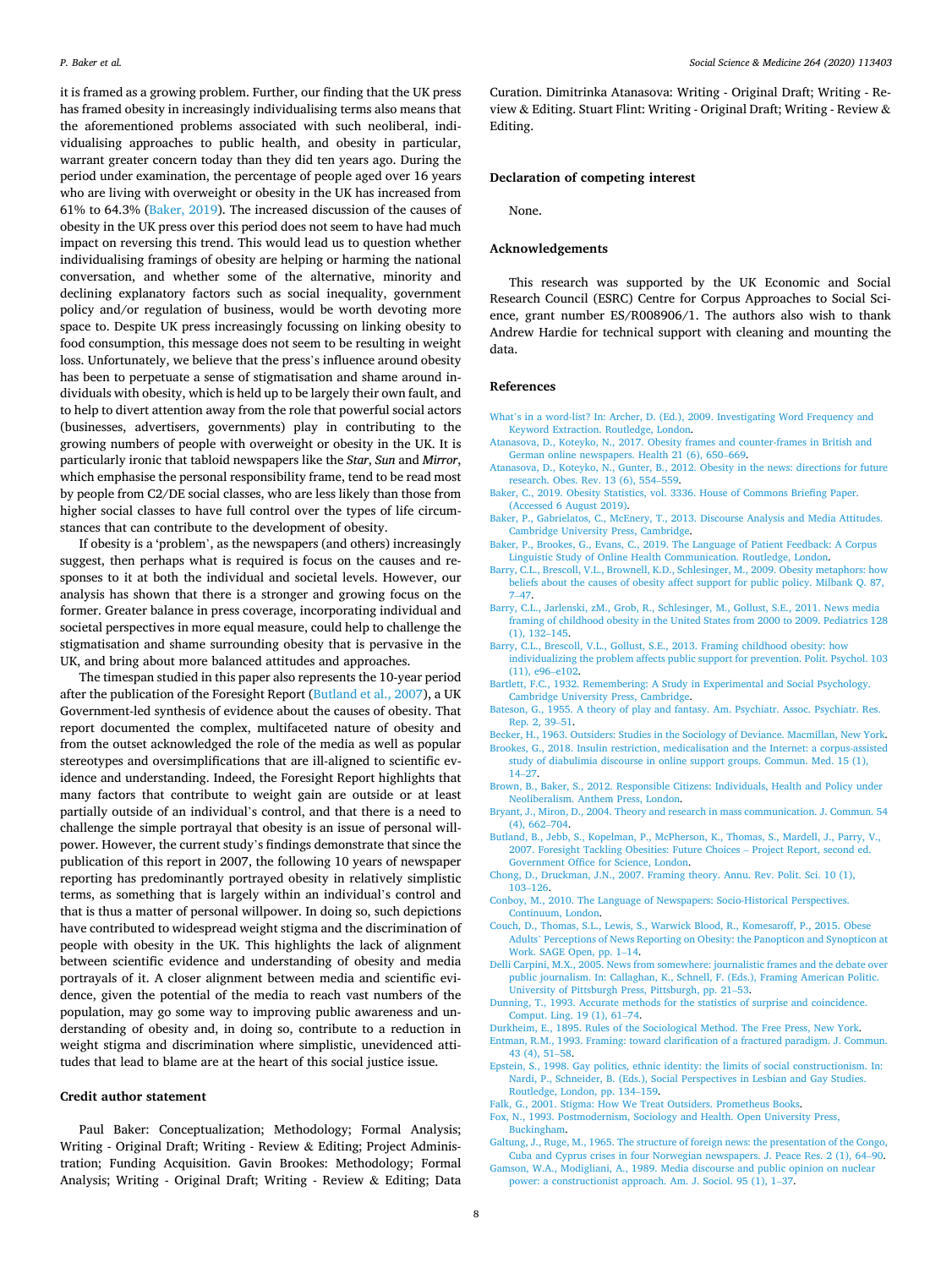<span id="page-7-0"></span>it is framed as a growing problem. Further, our finding that the UK press has framed obesity in increasingly individualising terms also means that the aforementioned problems associated with such neoliberal, individualising approaches to public health, and obesity in particular, warrant greater concern today than they did ten years ago. During the period under examination, the percentage of people aged over 16 years who are living with overweight or obesity in the UK has increased from 61% to 64.3% (Baker, 2019). The increased discussion of the causes of obesity in the UK press over this period does not seem to have had much impact on reversing this trend. This would lead us to question whether individualising framings of obesity are helping or harming the national conversation, and whether some of the alternative, minority and declining explanatory factors such as social inequality, government policy and/or regulation of business, would be worth devoting more space to. Despite UK press increasingly focussing on linking obesity to food consumption, this message does not seem to be resulting in weight loss. Unfortunately, we believe that the press's influence around obesity has been to perpetuate a sense of stigmatisation and shame around individuals with obesity, which is held up to be largely their own fault, and to help to divert attention away from the role that powerful social actors (businesses, advertisers, governments) play in contributing to the growing numbers of people with overweight or obesity in the UK. It is particularly ironic that tabloid newspapers like the *Star*, *Sun* and *Mirror*, which emphasise the personal responsibility frame, tend to be read most by people from C2/DE social classes, who are less likely than those from higher social classes to have full control over the types of life circumstances that can contribute to the development of obesity.

If obesity is a 'problem', as the newspapers (and others) increasingly suggest, then perhaps what is required is focus on the causes and responses to it at both the individual and societal levels. However, our analysis has shown that there is a stronger and growing focus on the former. Greater balance in press coverage, incorporating individual and societal perspectives in more equal measure, could help to challenge the stigmatisation and shame surrounding obesity that is pervasive in the UK, and bring about more balanced attitudes and approaches.

The timespan studied in this paper also represents the 10-year period after the publication of the Foresight Report (Butland et al., 2007), a UK Government-led synthesis of evidence about the causes of obesity. That report documented the complex, multifaceted nature of obesity and from the outset acknowledged the role of the media as well as popular stereotypes and oversimplifications that are ill-aligned to scientific evidence and understanding. Indeed, the Foresight Report highlights that many factors that contribute to weight gain are outside or at least partially outside of an individual's control, and that there is a need to challenge the simple portrayal that obesity is an issue of personal willpower. However, the current study's findings demonstrate that since the publication of this report in 2007, the following 10 years of newspaper reporting has predominantly portrayed obesity in relatively simplistic terms, as something that is largely within an individual's control and that is thus a matter of personal willpower. In doing so, such depictions have contributed to widespread weight stigma and the discrimination of people with obesity in the UK. This highlights the lack of alignment between scientific evidence and understanding of obesity and media portrayals of it. A closer alignment between media and scientific evidence, given the potential of the media to reach vast numbers of the population, may go some way to improving public awareness and understanding of obesity and, in doing so, contribute to a reduction in weight stigma and discrimination where simplistic, unevidenced attitudes that lead to blame are at the heart of this social justice issue.

# **Credit author statement**

Paul Baker: Conceptualization; Methodology; Formal Analysis; Writing - Original Draft; Writing - Review & Editing; Project Administration; Funding Acquisition. Gavin Brookes: Methodology; Formal Analysis; Writing - Original Draft; Writing - Review & Editing; Data

Curation. Dimitrinka Atanasova: Writing - Original Draft; Writing - Review & Editing. Stuart Flint: Writing - Original Draft; Writing - Review & Editing.

## **Declaration of competing interest**

None.

## **Acknowledgements**

This research was supported by the UK Economic and Social Research Council (ESRC) Centre for Corpus Approaches to Social Science, grant number ES/R008906/1. The authors also wish to thank Andrew Hardie for technical support with cleaning and mounting the data.

### **References**

- What'[s in a word-list? In: Archer, D. \(Ed.\), 2009. Investigating Word Frequency and](http://refhub.elsevier.com/S0277-9536(20)30622-5/sref1)  [Keyword Extraction. Routledge, London](http://refhub.elsevier.com/S0277-9536(20)30622-5/sref1).
- [Atanasova, D., Koteyko, N., 2017. Obesity frames and counter-frames in British and](http://refhub.elsevier.com/S0277-9536(20)30622-5/sref2)  [German online newspapers. Health 21 \(6\), 650](http://refhub.elsevier.com/S0277-9536(20)30622-5/sref2)–669.
- [Atanasova, D., Koteyko, N., Gunter, B., 2012. Obesity in the news: directions for future](http://refhub.elsevier.com/S0277-9536(20)30622-5/sref3)  [research. Obes. Rev. 13 \(6\), 554](http://refhub.elsevier.com/S0277-9536(20)30622-5/sref3)–559.
- [Baker, C., 2019. Obesity Statistics, vol. 3336. House of Commons Briefing Paper.](http://refhub.elsevier.com/S0277-9536(20)30622-5/sref4)  [\(Accessed 6 August 2019\)](http://refhub.elsevier.com/S0277-9536(20)30622-5/sref4).
- [Baker, P., Gabrielatos, C., McEnery, T., 2013. Discourse Analysis and Media Attitudes.](http://refhub.elsevier.com/S0277-9536(20)30622-5/sref5)  [Cambridge University Press, Cambridge.](http://refhub.elsevier.com/S0277-9536(20)30622-5/sref5)
- [Baker, P., Brookes, G., Evans, C., 2019. The Language of Patient Feedback: A Corpus](http://refhub.elsevier.com/S0277-9536(20)30622-5/sref6)  [Linguistic Study of Online Health Communication. Routledge, London](http://refhub.elsevier.com/S0277-9536(20)30622-5/sref6).
- [Barry, C.L., Brescoll, V.L., Brownell, K.D., Schlesinger, M., 2009. Obesity metaphors: how](http://refhub.elsevier.com/S0277-9536(20)30622-5/sref7)  [beliefs about the causes of obesity affect support for public policy. Milbank Q. 87,](http://refhub.elsevier.com/S0277-9536(20)30622-5/sref7) 7–[47.](http://refhub.elsevier.com/S0277-9536(20)30622-5/sref7)
- [Barry, C.L., Jarlenski, zM., Grob, R., Schlesinger, M., Gollust, S.E., 2011. News media](http://refhub.elsevier.com/S0277-9536(20)30622-5/sref8)  [framing of childhood obesity in the United States from 2000 to 2009. Pediatrics 128](http://refhub.elsevier.com/S0277-9536(20)30622-5/sref8)  [\(1\), 132](http://refhub.elsevier.com/S0277-9536(20)30622-5/sref8)–145.
- [Barry, C.L., Brescoll, V.L., Gollust, S.E., 2013. Framing childhood obesity: how](http://refhub.elsevier.com/S0277-9536(20)30622-5/sref9)  [individualizing the problem affects public support for prevention. Polit. Psychol. 103](http://refhub.elsevier.com/S0277-9536(20)30622-5/sref9)  [\(11\), e96](http://refhub.elsevier.com/S0277-9536(20)30622-5/sref9)–e102.
- [Bartlett, F.C., 1932. Remembering: A Study in Experimental and Social Psychology.](http://refhub.elsevier.com/S0277-9536(20)30622-5/sref10) [Cambridge University Press, Cambridge.](http://refhub.elsevier.com/S0277-9536(20)30622-5/sref10)
- [Bateson, G., 1955. A theory of play and fantasy. Am. Psychiatr. Assoc. Psychiatr. Res.](http://refhub.elsevier.com/S0277-9536(20)30622-5/sref11) [Rep. 2, 39](http://refhub.elsevier.com/S0277-9536(20)30622-5/sref11)–51.

[Becker, H., 1963. Outsiders: Studies in the Sociology of Deviance. Macmillan, New York.](http://refhub.elsevier.com/S0277-9536(20)30622-5/sref12) [Brookes, G., 2018. Insulin restriction, medicalisation and the Internet: a corpus-assisted](http://refhub.elsevier.com/S0277-9536(20)30622-5/sref13) 

- [study of diabulimia discourse in online support groups. Commun. Med. 15 \(1\),](http://refhub.elsevier.com/S0277-9536(20)30622-5/sref13)  14–[27](http://refhub.elsevier.com/S0277-9536(20)30622-5/sref13).
- [Brown, B., Baker, S., 2012. Responsible Citizens: Individuals, Health and Policy under](http://refhub.elsevier.com/S0277-9536(20)30622-5/sref14) [Neoliberalism. Anthem Press, London.](http://refhub.elsevier.com/S0277-9536(20)30622-5/sref14)
- [Bryant, J., Miron, D., 2004. Theory and research in mass communication. J. Commun. 54](http://refhub.elsevier.com/S0277-9536(20)30622-5/sref15)  [\(4\), 662](http://refhub.elsevier.com/S0277-9536(20)30622-5/sref15)–704.
- [Butland, B., Jebb, S., Kopelman, P., McPherson, K., Thomas, S., Mardell, J., Parry, V.,](http://refhub.elsevier.com/S0277-9536(20)30622-5/sref16) [2007. Foresight Tackling Obesities: Future Choices](http://refhub.elsevier.com/S0277-9536(20)30622-5/sref16) – Project Report, second ed. [Government Office for Science, London.](http://refhub.elsevier.com/S0277-9536(20)30622-5/sref16)
- [Chong, D., Druckman, J.N., 2007. Framing theory. Annu. Rev. Polit. Sci. 10 \(1\),](http://refhub.elsevier.com/S0277-9536(20)30622-5/sref17) 103–[126](http://refhub.elsevier.com/S0277-9536(20)30622-5/sref17).
- [Conboy, M., 2010. The Language of Newspapers: Socio-Historical Perspectives.](http://refhub.elsevier.com/S0277-9536(20)30622-5/sref18)  [Continuum, London](http://refhub.elsevier.com/S0277-9536(20)30622-5/sref18).
- [Couch, D., Thomas, S.L., Lewis, S., Warwick Blood, R., Komesaroff, P., 2015. Obese](http://refhub.elsevier.com/S0277-9536(20)30622-5/sref19) Adults' [Perceptions of News Reporting on Obesity: the Panopticon and Synopticon at](http://refhub.elsevier.com/S0277-9536(20)30622-5/sref19)  [Work. SAGE Open, pp. 1](http://refhub.elsevier.com/S0277-9536(20)30622-5/sref19)–14.
- [Delli Carpini, M.X., 2005. News from somewhere: journalistic frames and the debate over](http://refhub.elsevier.com/S0277-9536(20)30622-5/sref20)  [public journalism. In: Callaghan, K., Schnell, F. \(Eds.\), Framing American Politic.](http://refhub.elsevier.com/S0277-9536(20)30622-5/sref20) [University of Pittsburgh Press, Pittsburgh, pp. 21](http://refhub.elsevier.com/S0277-9536(20)30622-5/sref20)–53.
- [Dunning, T., 1993. Accurate methods for the statistics of surprise and coincidence.](http://refhub.elsevier.com/S0277-9536(20)30622-5/sref22)  [Comput. Ling. 19 \(1\), 61](http://refhub.elsevier.com/S0277-9536(20)30622-5/sref22)–74.
- [Durkheim, E., 1895. Rules of the Sociological Method. The Free Press, New York.](http://refhub.elsevier.com/S0277-9536(20)30622-5/sref23) [Entman, R.M., 1993. Framing: toward clarification of a fractured paradigm. J. Commun.](http://refhub.elsevier.com/S0277-9536(20)30622-5/sref24)
- [43 \(4\), 51](http://refhub.elsevier.com/S0277-9536(20)30622-5/sref24)–58.
- [Epstein, S., 1998. Gay politics, ethnic identity: the limits of social constructionism. In:](http://refhub.elsevier.com/S0277-9536(20)30622-5/sref25)  [Nardi, P., Schneider, B. \(Eds.\), Social Perspectives in Lesbian and Gay Studies.](http://refhub.elsevier.com/S0277-9536(20)30622-5/sref25) [Routledge, London, pp. 134](http://refhub.elsevier.com/S0277-9536(20)30622-5/sref25)–159.
- [Falk, G., 2001. Stigma: How We Treat Outsiders. Prometheus Books](http://refhub.elsevier.com/S0277-9536(20)30622-5/sref26).
- [Fox, N., 1993. Postmodernism, Sociology and Health. Open University Press,](http://refhub.elsevier.com/S0277-9536(20)30622-5/sref27)  [Buckingham.](http://refhub.elsevier.com/S0277-9536(20)30622-5/sref27)
- [Galtung, J., Ruge, M., 1965. The structure of foreign news: the presentation of the Congo,](http://refhub.elsevier.com/S0277-9536(20)30622-5/sref28)  [Cuba and Cyprus crises in four Norwegian newspapers. J. Peace Res. 2 \(1\), 64](http://refhub.elsevier.com/S0277-9536(20)30622-5/sref28)–90.
- [Gamson, W.A., Modigliani, A., 1989. Media discourse and public opinion on nuclear](http://refhub.elsevier.com/S0277-9536(20)30622-5/sref29)  [power: a constructionist approach. Am. J. Sociol. 95 \(1\), 1](http://refhub.elsevier.com/S0277-9536(20)30622-5/sref29)–37.